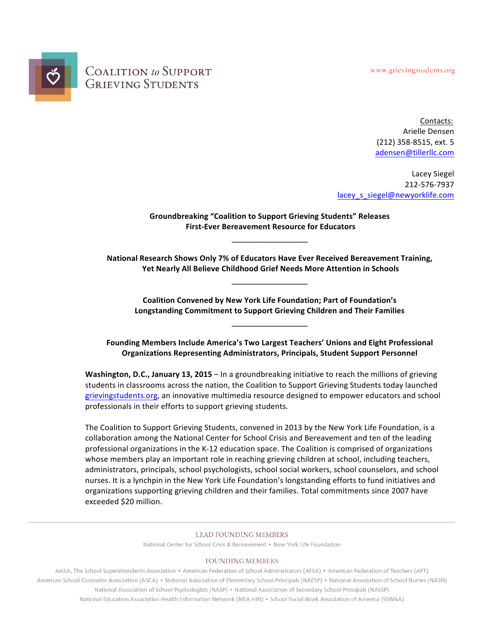www.grievingstudents.org



**COALITION** to SUPPORT **GRIEVING STUDENTS** 

> Contacts: Arielle Densen (212) 358-8515, ext. 5 adensen@tillerllc.com

Lacey Siegel 212-576-7937 lacey\_s\_siegel@newyorklife.com

**Groundbreaking "Coalition to Support Grieving Students" Releases First-Ever Bereavement Resource for Educators** 

**\_\_\_\_\_\_\_\_\_\_\_\_\_\_\_\_**

**National Research Shows Only 7% of Educators Have Ever Received Bereavement Training, Yet Nearly All Believe Childhood Grief Needs More Attention in Schools** 

**\_\_\_\_\_\_\_\_\_\_\_\_\_\_\_\_**

**Coalition Convened by New York Life Foundation; Part of Foundation's** Longstanding Commitment to Support Grieving Children and Their Families

**\_\_\_\_\_\_\_\_\_\_\_\_\_\_\_\_**

Founding Members Include America's Two Largest Teachers' Unions and Eight Professional **Organizations Representing Administrators, Principals, Student Support Personnel** 

**Washington, D.C., January 13, 2015** – In a groundbreaking initiative to reach the millions of grieving students in classrooms across the nation, the Coalition to Support Grieving Students today launched grievingstudents.org, an innovative multimedia resource designed to empower educators and school professionals in their efforts to support grieving students.

The Coalition to Support Grieving Students, convened in 2013 by the New York Life Foundation, is a collaboration among the National Center for School Crisis and Bereavement and ten of the leading professional organizations in the K-12 education space. The Coalition is comprised of organizations whose members play an important role in reaching grieving children at school, including teachers, administrators, principals, school psychologists, school social workers, school counselors, and school nurses. It is a lynchpin in the New York Life Foundation's longstanding efforts to fund initiatives and organizations supporting grieving children and their families. Total commitments since 2007 have exceeded \$20 million.

#### **LEAD FOUNDING MEMBERS**

National Center for School Crisis & Bereavement • New York Life Foundation

#### **FOUNDING MEMBERS**

AASA, The School Superintendents Association • American Federation of School Administrators (AFSA) • American Federation of Teachers (AFT) American School Counselor Association (ASCA) • National Association of Elementary School Principals (NAESP) • National Association of School Nurses (NASN) National Association of School Psychologists (NASP) • National Association of Secondary School Principals (NASSP) National Education Association Health Information Network (NEA HIN) . School Social Work Association of America (SSWAA)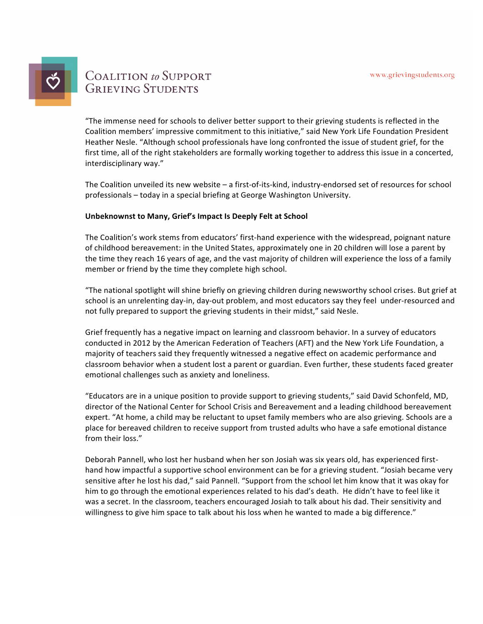

# **COALITION** to SUPPORT **GRIEVING STUDENTS**

"The immense need for schools to deliver better support to their grieving students is reflected in the Coalition members' impressive commitment to this initiative," said New York Life Foundation President Heather Nesle. "Although school professionals have long confronted the issue of student grief, for the first time, all of the right stakeholders are formally working together to address this issue in a concerted, interdisciplinary way."

The Coalition unveiled its new website  $-$  a first-of-its-kind, industry-endorsed set of resources for school professionals - today in a special briefing at George Washington University.

## **Unbeknownst to Many, Grief's Impact Is Deeply Felt at School**

The Coalition's work stems from educators' first-hand experience with the widespread, poignant nature of childhood bereavement: in the United States, approximately one in 20 children will lose a parent by the time they reach 16 years of age, and the vast majority of children will experience the loss of a family member or friend by the time they complete high school.

"The national spotlight will shine briefly on grieving children during newsworthy school crises. But grief at school is an unrelenting day-in, day-out problem, and most educators say they feel under-resourced and not fully prepared to support the grieving students in their midst," said Nesle.

Grief frequently has a negative impact on learning and classroom behavior. In a survey of educators conducted in 2012 by the American Federation of Teachers (AFT) and the New York Life Foundation, a majority of teachers said they frequently witnessed a negative effect on academic performance and classroom behavior when a student lost a parent or guardian. Even further, these students faced greater emotional challenges such as anxiety and loneliness.

"Educators are in a unique position to provide support to grieving students," said David Schonfeld, MD, director of the National Center for School Crisis and Bereavement and a leading childhood bereavement expert. "At home, a child may be reluctant to upset family members who are also grieving. Schools are a place for bereaved children to receive support from trusted adults who have a safe emotional distance from their loss."

Deborah Pannell, who lost her husband when her son Josiah was six years old, has experienced firsthand how impactful a supportive school environment can be for a grieving student. "Josiah became very sensitive after he lost his dad," said Pannell. "Support from the school let him know that it was okay for him to go through the emotional experiences related to his dad's death. He didn't have to feel like it was a secret. In the classroom, teachers encouraged Josiah to talk about his dad. Their sensitivity and willingness to give him space to talk about his loss when he wanted to made a big difference."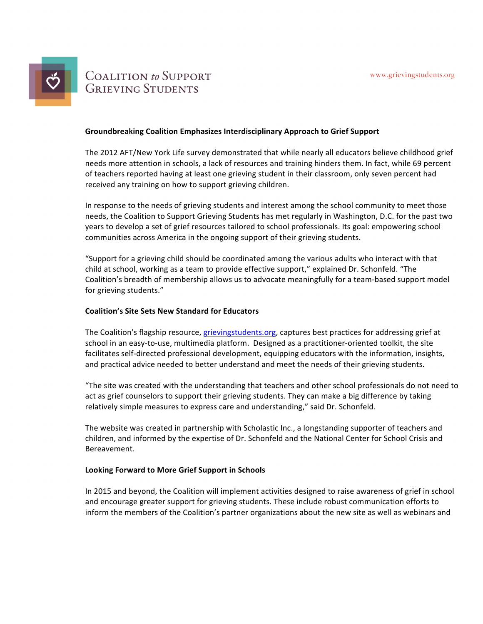

# **COALITION** to SUPPORT **GRIEVING STUDENTS**

### **Groundbreaking Coalition Emphasizes Interdisciplinary Approach to Grief Support**

The 2012 AFT/New York Life survey demonstrated that while nearly all educators believe childhood grief needs more attention in schools, a lack of resources and training hinders them. In fact, while 69 percent of teachers reported having at least one grieving student in their classroom, only seven percent had received any training on how to support grieving children.

In response to the needs of grieving students and interest among the school community to meet those needs, the Coalition to Support Grieving Students has met regularly in Washington, D.C. for the past two years to develop a set of grief resources tailored to school professionals. Its goal: empowering school communities across America in the ongoing support of their grieving students.

"Support for a grieving child should be coordinated among the various adults who interact with that child at school, working as a team to provide effective support," explained Dr. Schonfeld. "The Coalition's breadth of membership allows us to advocate meaningfully for a team-based support model for grieving students."

## **Coalition's Site Sets New Standard for Educators**

The Coalition's flagship resource, grievingstudents.org, captures best practices for addressing grief at school in an easy-to-use, multimedia platform. Designed as a practitioner-oriented toolkit, the site facilitates self-directed professional development, equipping educators with the information, insights, and practical advice needed to better understand and meet the needs of their grieving students.

"The site was created with the understanding that teachers and other school professionals do not need to act as grief counselors to support their grieving students. They can make a big difference by taking relatively simple measures to express care and understanding," said Dr. Schonfeld.

The website was created in partnership with Scholastic Inc., a longstanding supporter of teachers and children, and informed by the expertise of Dr. Schonfeld and the National Center for School Crisis and Bereavement.

## Looking Forward to More Grief Support in Schools

In 2015 and beyond, the Coalition will implement activities designed to raise awareness of grief in school and encourage greater support for grieving students. These include robust communication efforts to inform the members of the Coalition's partner organizations about the new site as well as webinars and